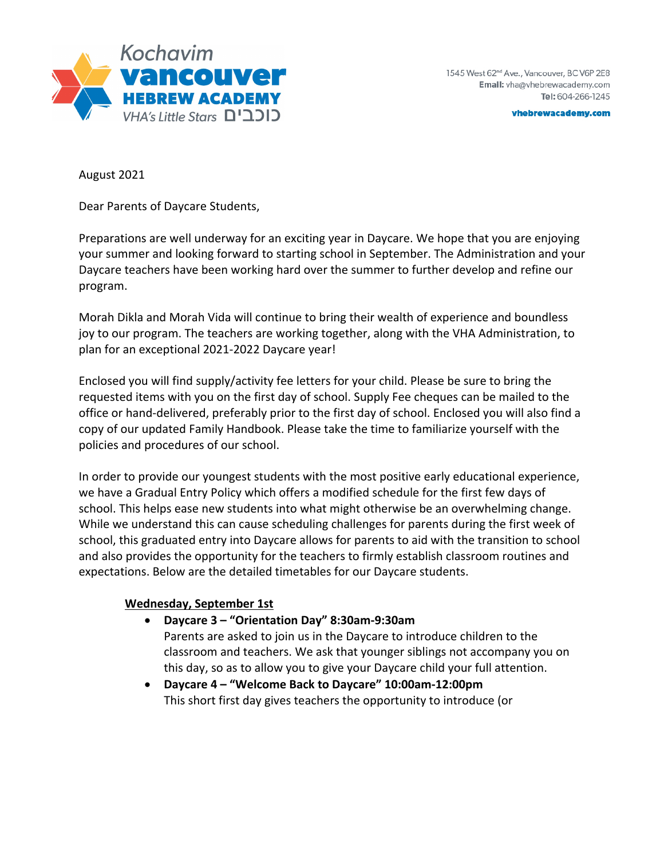

vhebrewacademy.com

August 2021

Dear Parents of Daycare Students,

Preparations are well underway for an exciting year in Daycare. We hope that you are enjoying your summer and looking forward to starting school in September. The Administration and your Daycare teachers have been working hard over the summer to further develop and refine our program.

Morah Dikla and Morah Vida will continue to bring their wealth of experience and boundless joy to our program. The teachers are working together, along with the VHA Administration, to plan for an exceptional 2021-2022 Daycare year!

Enclosed you will find supply/activity fee letters for your child. Please be sure to bring the requested items with you on the first day of school. Supply Fee cheques can be mailed to the office or hand-delivered, preferably prior to the first day of school. Enclosed you will also find a copy of our updated Family Handbook. Please take the time to familiarize yourself with the policies and procedures of our school.

In order to provide our youngest students with the most positive early educational experience, we have a Gradual Entry Policy which offers a modified schedule for the first few days of school. This helps ease new students into what might otherwise be an overwhelming change. While we understand this can cause scheduling challenges for parents during the first week of school, this graduated entry into Daycare allows for parents to aid with the transition to school and also provides the opportunity for the teachers to firmly establish classroom routines and expectations. Below are the detailed timetables for our Daycare students.

## **Wednesday, September 1st**

- **Daycare 3 – "Orientation Day" 8:30am-9:30am**
	- Parents are asked to join us in the Daycare to introduce children to the classroom and teachers. We ask that younger siblings not accompany you on this day, so as to allow you to give your Daycare child your full attention.
- **Daycare 4 – "Welcome Back to Daycare" 10:00am-12:00pm** This short first day gives teachers the opportunity to introduce (or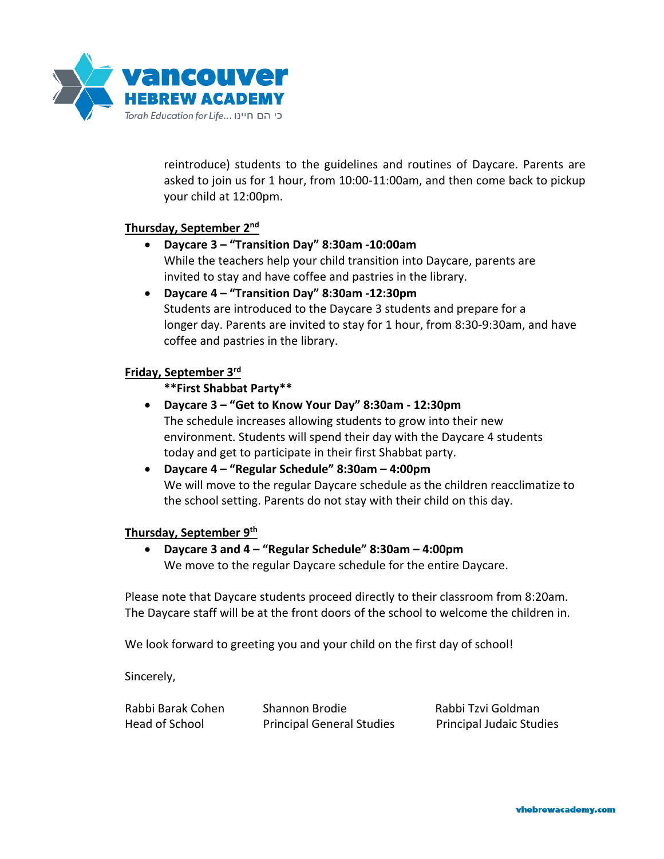

reintroduce) students to the guidelines and routines of Daycare. Parents are asked to join us for 1 hour, from 10:00-11:00am, and then come back to pickup your child at 12:00pm.

### **Thursday, September 2nd**

- **Daycare 3 – "Transition Day" 8:30am -10:00am** While the teachers help your child transition into Daycare, parents are invited to stay and have coffee and pastries in the library.
- **Daycare 4 – "Transition Day" 8:30am -12:30pm** Students are introduced to the Daycare 3 students and prepare for a longer day. Parents are invited to stay for 1 hour, from 8:30-9:30am, and have coffee and pastries in the library.

#### **Friday, September 3rd**

### **\*\*First Shabbat Party\*\***

- **Daycare 3 – "Get to Know Your Day" 8:30am - 12:30pm** The schedule increases allowing students to grow into their new environment. Students will spend their day with the Daycare 4 students today and get to participate in their first Shabbat party.
- **Daycare 4 – "Regular Schedule" 8:30am – 4:00pm** We will move to the regular Daycare schedule as the children reacclimatize to the school setting. Parents do not stay with their child on this day.

#### **Thursday, September 9th**

• **Daycare 3 and 4 – "Regular Schedule" 8:30am – 4:00pm** We move to the regular Daycare schedule for the entire Daycare.

Please note that Daycare students proceed directly to their classroom from 8:20am. The Daycare staff will be at the front doors of the school to welcome the children in.

We look forward to greeting you and your child on the first day of school!

Sincerely,

| Rabbi Barak Cohen | Shannon Brodie                   | Rabbi Tzvi Goldman              |
|-------------------|----------------------------------|---------------------------------|
| Head of School    | <b>Principal General Studies</b> | <b>Principal Judaic Studies</b> |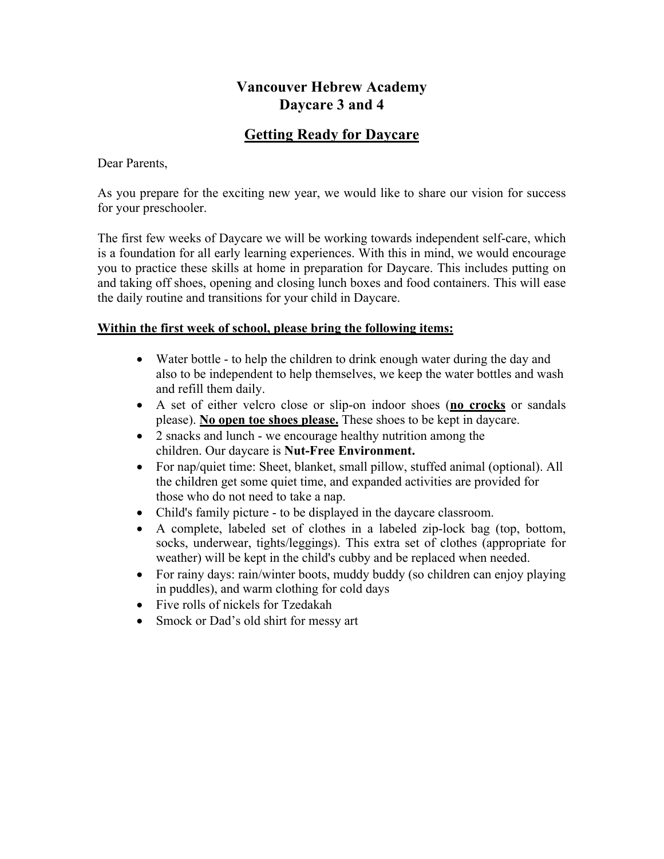# **Vancouver Hebrew Academy Daycare 3 and 4**

# **Getting Ready for Daycare**

## Dear Parents,

As you prepare for the exciting new year, we would like to share our vision for success for your preschooler.

The first few weeks of Daycare we will be working towards independent self-care, which is a foundation for all early learning experiences. With this in mind, we would encourage you to practice these skills at home in preparation for Daycare. This includes putting on and taking off shoes, opening and closing lunch boxes and food containers. This will ease the daily routine and transitions for your child in Daycare.

## **Within the first week of school, please bring the following items:**

- Water bottle to help the children to drink enough water during the day and also to be independent to help themselves, we keep the water bottles and wash and refill them daily.
- A set of either velcro close or slip-on indoor shoes (**no crocks** or sandals please). **No open toe shoes please.** These shoes to be kept in daycare.
- 2 snacks and lunch we encourage healthy nutrition among the children. Our daycare is **Nut-Free Environment.**
- For nap/quiet time: Sheet, blanket, small pillow, stuffed animal (optional). All the children get some quiet time, and expanded activities are provided for those who do not need to take a nap.
- Child's family picture to be displayed in the daycare classroom.
- A complete, labeled set of clothes in a labeled zip-lock bag (top, bottom, socks, underwear, tights/leggings). This extra set of clothes (appropriate for weather) will be kept in the child's cubby and be replaced when needed.
- For rainy days: rain/winter boots, muddy buddy (so children can enjoy playing in puddles), and warm clothing for cold days
- Five rolls of nickels for Tzedakah
- Smock or Dad's old shirt for messy art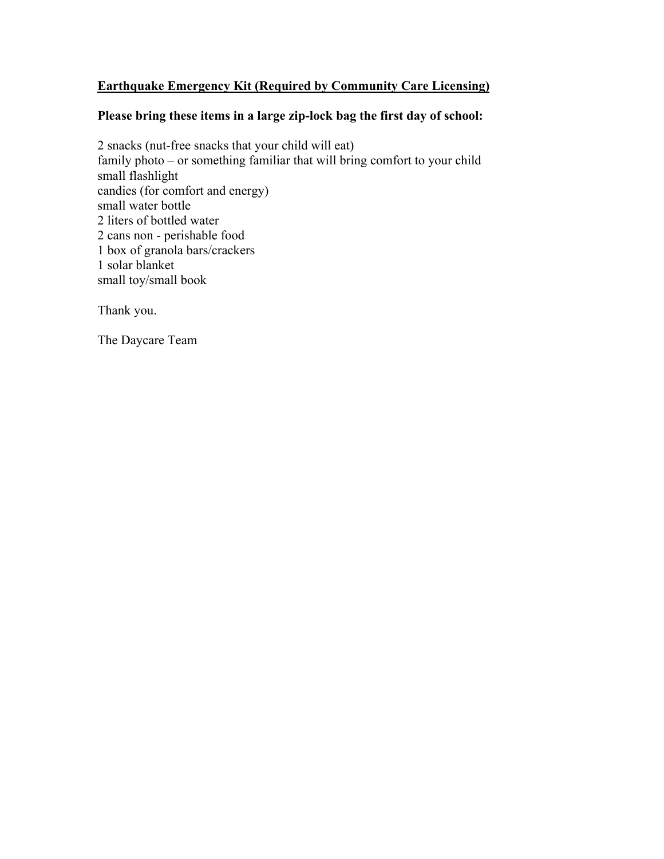# **Earthquake Emergency Kit (Required by Community Care Licensing)**

# **Please bring these items in a large zip-lock bag the first day of school:**

2 snacks (nut-free snacks that your child will eat) family photo – or something familiar that will bring comfort to your child small flashlight candies (for comfort and energy) small water bottle 2 liters of bottled water 2 cans non - perishable food 1 box of granola bars/crackers 1 solar blanket small toy/small book

Thank you.

The Daycare Team